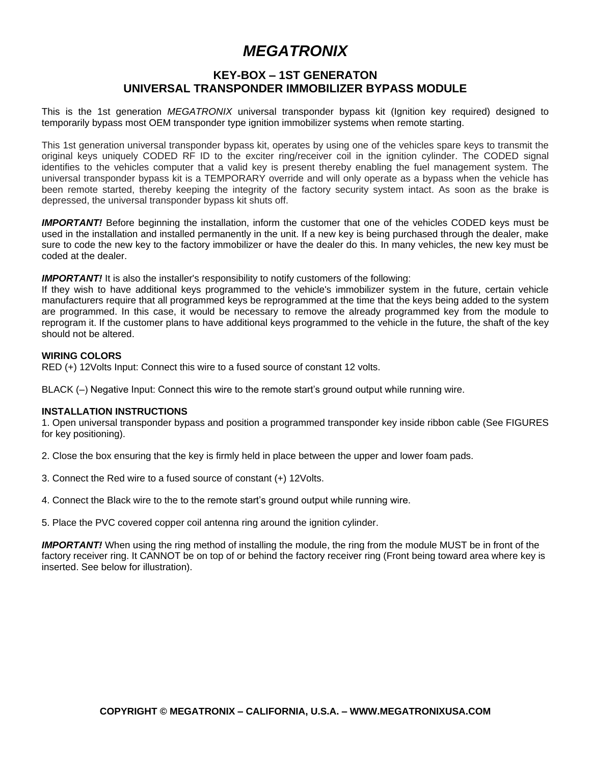# *MEGATRONIX*

## **KEY-BOX – 1ST GENERATON UNIVERSAL TRANSPONDER IMMOBILIZER BYPASS MODULE**

This is the 1st generation *MEGATRONIX* universal transponder bypass kit (Ignition key required) designed to temporarily bypass most OEM transponder type ignition immobilizer systems when remote starting.

This 1st generation universal transponder bypass kit, operates by using one of the vehicles spare keys to transmit the original keys uniquely CODED RF ID to the exciter ring/receiver coil in the ignition cylinder. The CODED signal identifies to the vehicles computer that a valid key is present thereby enabling the fuel management system. The universal transponder bypass kit is a TEMPORARY override and will only operate as a bypass when the vehicle has been remote started, thereby keeping the integrity of the factory security system intact. As soon as the brake is depressed, the universal transponder bypass kit shuts off.

*IMPORTANT!* Before beginning the installation, inform the customer that one of the vehicles CODED keys must be used in the installation and installed permanently in the unit. If a new key is being purchased through the dealer, make sure to code the new key to the factory immobilizer or have the dealer do this. In many vehicles, the new key must be coded at the dealer.

**IMPORTANT!** It is also the installer's responsibility to notify customers of the following:

If they wish to have additional keys programmed to the vehicle's immobilizer system in the future, certain vehicle manufacturers require that all programmed keys be reprogrammed at the time that the keys being added to the system are programmed. In this case, it would be necessary to remove the already programmed key from the module to reprogram it. If the customer plans to have additional keys programmed to the vehicle in the future, the shaft of the key should not be altered.

#### **WIRING COLORS**

RED (+) 12Volts Input: Connect this wire to a fused source of constant 12 volts.

BLACK (–) Negative Input: Connect this wire to the remote start's ground output while running wire.

### **INSTALLATION INSTRUCTIONS**

1. Open universal transponder bypass and position a programmed transponder key inside ribbon cable (See FIGURES for key positioning).

2. Close the box ensuring that the key is firmly held in place between the upper and lower foam pads.

- 3. Connect the Red wire to a fused source of constant (+) 12Volts.
- 4. Connect the Black wire to the to the remote start's ground output while running wire.

5. Place the PVC covered copper coil antenna ring around the ignition cylinder.

*IMPORTANT!* When using the ring method of installing the module, the ring from the module MUST be in front of the factory receiver ring. It CANNOT be on top of or behind the factory receiver ring (Front being toward area where key is inserted. See below for illustration).